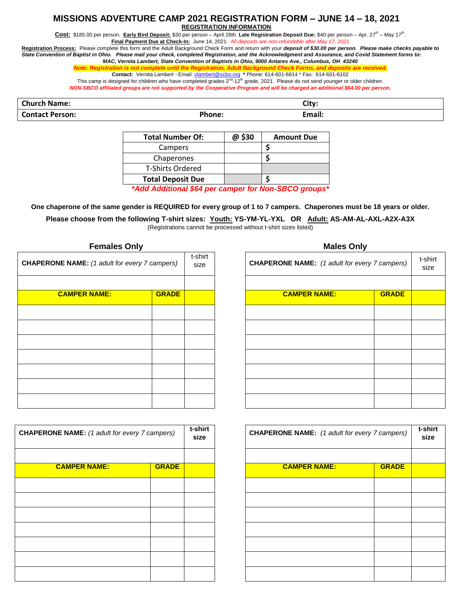## **MISSIONS ADVENTURE CAMP 2021 REGISTRATION FORM – JUNE 14 – 18, 2021 REGISTRATION INFORMATION**

Cost: \$185.00 per person. Early Bird Deposit: \$30 per person – April 26th. Late Registration Deposit Due: \$40 per person – Apr. 27<sup>th</sup> – May 17<sup>th</sup>.

**Final Payment Due at Check-In:** June 14, 2021. All *deposits are non-refundable after May 17, 2021.*

**Registration Process:** Please complete this form and the Adult Background Check Form and return with your *deposit of \$30.00 per person. Please make checks payable to State Convention of Baptist in Ohio. Please mail your check, completed Registration, and the Acknowledgment and Assurance, and Covid Statement forms to: MAC, Vernita Lambert, State Convention of Baptists in Ohio, 9000 Antares Ave., Columbus, OH 43240*

*Note: Registration is not complete until the Registration, Adult Background Check Forms, and deposits are received.*

**Contact:** Vernita Lambert - Email: <u>vlambert@scbo.org</u> \* Phone: 614-601-6814 \* Fax: 614-601-6102<br>This camp is designed for children who have completed grades 2<sup>nd</sup>-12<sup>th</sup> grade, 2021. Please do not send younger or older c *NON-SBCO affiliated groups are not supported by the Cooperative Program and will be charged an additional \$64.00 per person.*

**Church Name: City:**

**Contact Person: Phone: Email:**

| <b>Total Number Of:</b>                                    | @ \$30 | <b>Amount Due</b> |  |  |  |
|------------------------------------------------------------|--------|-------------------|--|--|--|
| Campers                                                    |        |                   |  |  |  |
| Chaperones                                                 |        |                   |  |  |  |
| <b>T-Shirts Ordered</b>                                    |        |                   |  |  |  |
| <b>Total Deposit Due</b>                                   |        |                   |  |  |  |
| $*A$ dd Additional CC4 nau compau fau Non. CDCO cuarma $*$ |        |                   |  |  |  |

*\*Add Additional \$64 per camper for Non-SBCO groups\**

**One chaperone of the same gender is REQUIRED for every group of 1 to 7 campers. Chaperones must be 18 years or older.**

**Please choose from the following T-shirt sizes: Youth: YS-YM-YL-YXL OR Adult: AS-AM-AL-AXL-A2X-A3X** (Registrations cannot be processed without t-shirt sizes listed)

| <b>CHAPERONE NAME:</b> (1 adult for every 7 campers) |              | t-shirt<br>size |  |                     |              | <b>CHAPERONE NAME:</b> (1 adult for every 7 campers |  |
|------------------------------------------------------|--------------|-----------------|--|---------------------|--------------|-----------------------------------------------------|--|
| <b>CAMPER NAME:</b>                                  | <b>GRADE</b> |                 |  | <b>CAMPER NAME:</b> | <b>GRADE</b> |                                                     |  |
|                                                      |              |                 |  |                     |              |                                                     |  |
|                                                      |              |                 |  |                     |              |                                                     |  |
|                                                      |              |                 |  |                     |              |                                                     |  |
|                                                      |              |                 |  |                     |              |                                                     |  |
|                                                      |              |                 |  |                     |              |                                                     |  |
|                                                      |              |                 |  |                     |              |                                                     |  |
|                                                      |              |                 |  |                     |              |                                                     |  |

| -91111 L<br>size | <b>CHAPERONE NAME:</b> (1 adult for every 7 campers) | t-shirt<br>size |  |
|------------------|------------------------------------------------------|-----------------|--|
|                  |                                                      |                 |  |
|                  | <b>CAMPER NAME:</b>                                  | <b>GRADE</b>    |  |
|                  |                                                      |                 |  |
|                  |                                                      |                 |  |
|                  |                                                      |                 |  |
|                  |                                                      |                 |  |
|                  |                                                      |                 |  |
|                  |                                                      |                 |  |
|                  |                                                      |                 |  |

| <b>CHAPERONE NAME:</b> (1 adult for every 7 campers) |              | t-shirt<br>size |  |
|------------------------------------------------------|--------------|-----------------|--|
| <b>CAMPER NAME:</b>                                  | <b>GRADE</b> |                 |  |
|                                                      |              |                 |  |
|                                                      |              |                 |  |
|                                                      |              |                 |  |
|                                                      |              |                 |  |
|                                                      |              |                 |  |
|                                                      |              |                 |  |
|                                                      |              |                 |  |

| -shirt<br>size | <b>CHAPERONE NAME:</b> (1 adult for every 7 campers) | t-shirt<br>size |  |
|----------------|------------------------------------------------------|-----------------|--|
|                |                                                      |                 |  |
|                | <b>CAMPER NAME:</b>                                  | <b>GRADE</b>    |  |
|                |                                                      |                 |  |
|                |                                                      |                 |  |
|                |                                                      |                 |  |
|                |                                                      |                 |  |
|                |                                                      |                 |  |
|                |                                                      |                 |  |
|                |                                                      |                 |  |

### **Females Only Males Only**